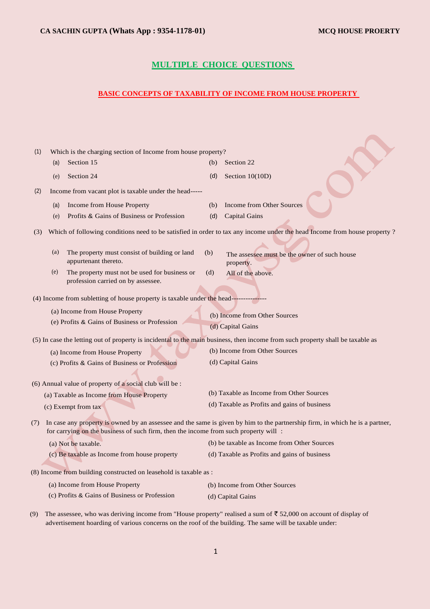# **MULTIPLE CHOICE QUESTIONS**

## **BASIC CONCEPTS OF TAXABILITY OF INCOME FROM HOUSE PROPERTY**

| (1) |     | Which is the charging section of Income from house property?                         |     |                                                                                                                                |
|-----|-----|--------------------------------------------------------------------------------------|-----|--------------------------------------------------------------------------------------------------------------------------------|
|     | (a) | Section 15                                                                           | (b) | Section 22                                                                                                                     |
|     | (e) | Section 24                                                                           | (d) | Section $10(10D)$                                                                                                              |
| (2) |     | Income from vacant plot is taxable under the head-----                               |     |                                                                                                                                |
|     | (a) | Income from House Property                                                           | (b) | Income from Other Sources                                                                                                      |
|     | (e) | Profits & Gains of Business or Profession                                            | (d) | <b>Capital Gains</b>                                                                                                           |
| (3) |     |                                                                                      |     | Which of following conditions need to be satisfied in order to tax any income under the head Income from house property?       |
|     | (a) | The property must consist of building or land<br>appurtenant thereto.                | (b) | The assessee must be the owner of such house<br>property.                                                                      |
|     | (e) | The property must not be used for business or<br>profession carried on by assessee.  | (d) | All of the above.                                                                                                              |
|     |     | (4) Income from subletting of house property is taxable under the head------         |     |                                                                                                                                |
|     |     |                                                                                      |     |                                                                                                                                |
|     |     | (a) Income from House Property                                                       |     | (b) Income from Other Sources                                                                                                  |
|     |     | (e) Profits & Gains of Business or Profession                                        |     | (d) Capital Gains                                                                                                              |
|     |     |                                                                                      |     | (5) In case the letting out of property is incidental to the main business, then income from such property shall be taxable as |
|     |     | (a) Income from House Property                                                       |     | (b) Income from Other Sources                                                                                                  |
|     |     | (c) Profits & Gains of Business or Profession                                        |     | (d) Capital Gains                                                                                                              |
|     |     | (6) Annual value of property of a social club will be :                              |     |                                                                                                                                |
|     |     | (a) Taxable as Income from House Property                                            |     | (b) Taxable as Income from Other Sources                                                                                       |
|     |     | (c) Exempt from tax                                                                  |     | (d) Taxable as Profits and gains of business                                                                                   |
| (7) |     | for carrying on the business of such firm, then the income from such property will : |     | In case any property is owned by an assessee and the same is given by him to the partnership firm, in which he is a partner,   |
|     |     | (a) Not be taxable.                                                                  |     | (b) be taxable as Income from Other Sources                                                                                    |
|     |     | (c) Be taxable as Income from house property                                         |     | (d) Taxable as Profits and gains of business                                                                                   |
|     |     | (8) Income from building constructed on leasehold is taxable as :                    |     |                                                                                                                                |
|     |     | (a) Income from House Property                                                       |     | (b) Income from Other Sources                                                                                                  |
|     |     | (c) Profits & Gains of Business or Profession                                        |     | (d) Capital Gains                                                                                                              |
| (9) |     |                                                                                      |     | The assessee, who was deriving income from "House property" realised a sum of $\overline{5}$ 52,000 on account of display of   |

advertisement hoarding of various concerns on the roof of the building. The same will be taxable under: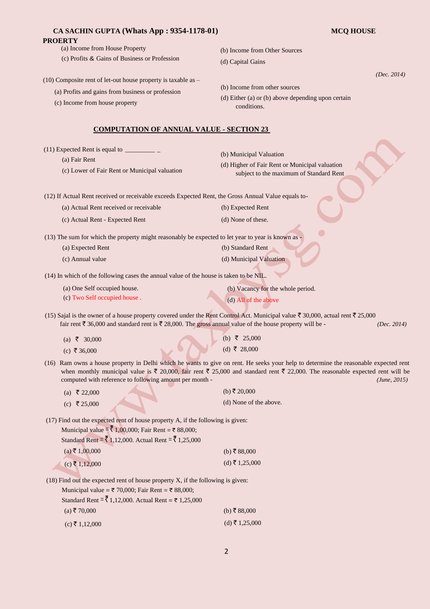| CA SACHIN GUPTA (Whats App : 9354-1178-01)                                                                                                                             | <b>MCQ HOUSE</b>                                                                                                                                               |
|------------------------------------------------------------------------------------------------------------------------------------------------------------------------|----------------------------------------------------------------------------------------------------------------------------------------------------------------|
| <b>PROERTY</b>                                                                                                                                                         |                                                                                                                                                                |
| (a) Income from House Property                                                                                                                                         | (b) Income from Other Sources                                                                                                                                  |
| (c) Profits & Gains of Business or Profession                                                                                                                          | (d) Capital Gains                                                                                                                                              |
| $(10)$ Composite rent of let-out house property is taxable as $-$                                                                                                      | (Dec. 2014)                                                                                                                                                    |
| (a) Profits and gains from business or profession                                                                                                                      | (b) Income from other sources                                                                                                                                  |
| (c) Income from house property                                                                                                                                         | (d) Either (a) or (b) above depending upon certain                                                                                                             |
|                                                                                                                                                                        | conditions.                                                                                                                                                    |
| <b>COMPUTATION OF ANNUAL VALUE - SECTION 23</b>                                                                                                                        |                                                                                                                                                                |
| $(11)$ Expected Rent is equal to $\overline{\phantom{a}}$                                                                                                              |                                                                                                                                                                |
| (a) Fair Rent                                                                                                                                                          | (b) Municipal Valuation                                                                                                                                        |
| (c) Lower of Fair Rent or Municipal valuation                                                                                                                          | (d) Higher of Fair Rent or Municipal valuation<br>subject to the maximum of Standard Rent                                                                      |
| (12) If Actual Rent received or receivable exceeds Expected Rent, the Gross Annual Value equals to-                                                                    |                                                                                                                                                                |
| (a) Actual Rent received or receivable                                                                                                                                 | (b) Expected Rent                                                                                                                                              |
| (c) Actual Rent - Expected Rent                                                                                                                                        | (d) None of these.                                                                                                                                             |
|                                                                                                                                                                        |                                                                                                                                                                |
| (13) The sum for which the property might reasonably be expected to let year to year is known as -                                                                     |                                                                                                                                                                |
| (a) Expected Rent                                                                                                                                                      | (b) Standard Rent                                                                                                                                              |
| (c) Annual value                                                                                                                                                       | (d) Municipal Valuation                                                                                                                                        |
| (14) In which of the following cases the annual value of the house is taken to be NIL.                                                                                 |                                                                                                                                                                |
| (a) One Self occupied house.                                                                                                                                           | (b) Vacancy for the whole period.                                                                                                                              |
| (c) Two Self occupied house.                                                                                                                                           | (d) All of the above                                                                                                                                           |
| (15) Sajal is the owner of a house property covered under the Rent Control Act. Municipal value $\bar{\tau}$ 30,000, actual rent $\bar{\tau}$ 25,000                   |                                                                                                                                                                |
| fair rent ₹ 36,000 and standard rent is ₹ 28,000. The gross annual value of the house property will be -                                                               | (Dec. 2014)                                                                                                                                                    |
| (a) ₹ 30,000                                                                                                                                                           | (b) ₹ 25,000                                                                                                                                                   |
| (c) ₹ 36,000                                                                                                                                                           | (d) ₹ 28,000                                                                                                                                                   |
|                                                                                                                                                                        | (16) Ram owns a house property in Delhi which he wants to give on rent. He seeks your help to determine the reasonable expected rent                           |
|                                                                                                                                                                        | when monthly municipal value is $\bar{\tau}$ 20,000, fair rent $\bar{\tau}$ 25,000 and standard rent $\bar{\tau}$ 22,000. The reasonable expected rent will be |
| computed with reference to following amount per month -                                                                                                                | (June, 2015)                                                                                                                                                   |
| (a) ₹ 22,000                                                                                                                                                           | (b) ₹ 20,000                                                                                                                                                   |
| (c) ₹ 25,000                                                                                                                                                           | (d) None of the above.                                                                                                                                         |
| (17) Find out the expected rent of house property A, if the following is given:                                                                                        |                                                                                                                                                                |
| Municipal value = ₹ 1,00,000; Fair Rent = ₹ 88,000;                                                                                                                    |                                                                                                                                                                |
| Standard Rent = ₹ 1,12,000. Actual Rent = ₹ 1,25,000                                                                                                                   |                                                                                                                                                                |
| $(a)$ ₹ 1,00,000                                                                                                                                                       | (b) ₹ 88,000                                                                                                                                                   |
| $(c)$ ₹ 1,12,000                                                                                                                                                       | $(d)$ ₹ 1,25,000                                                                                                                                               |
|                                                                                                                                                                        |                                                                                                                                                                |
| $(18)$ Find out the expected rent of house property X, if the following is given:<br>Municipal value = $\overline{\tau}$ 70,000; Fair Rent = $\overline{\tau}$ 88,000; |                                                                                                                                                                |
| Standard Rent = $\frac{3}{5}$ 1,12,000. Actual Rent = ₹ 1,25,000                                                                                                       |                                                                                                                                                                |
| $(a)$ ₹70,000                                                                                                                                                          | (b) ₹ 88,000                                                                                                                                                   |
| $(c)$ ₹ 1,12,000                                                                                                                                                       | $(d)$ ₹ 1,25,000                                                                                                                                               |
|                                                                                                                                                                        |                                                                                                                                                                |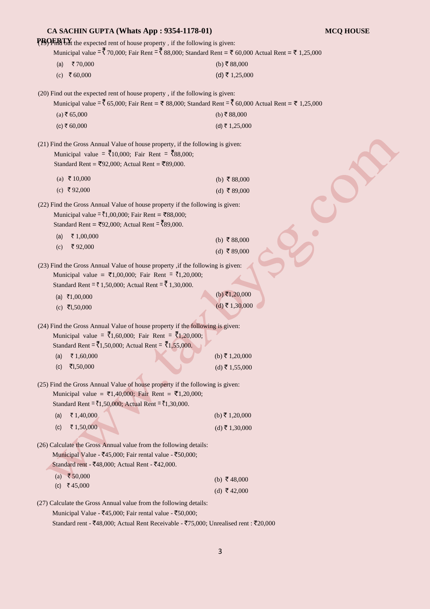| CA SACHIN GUPTA (Whats App: 9354-1178-01)                                                                                                                                                                                         |                                   | <b>MCQ HOUSE</b> |
|-----------------------------------------------------------------------------------------------------------------------------------------------------------------------------------------------------------------------------------|-----------------------------------|------------------|
| PBOERTY the expected rent of house property, if the following is given:                                                                                                                                                           |                                   |                  |
| Municipal value $=\xi$ 70,000; Fair Rent $=\xi$ 88,000; Standard Rent = $\xi$ 60,000 Actual Rent = $\xi$ 1,25,000                                                                                                                 |                                   |                  |
| ₹70,000<br>(a)                                                                                                                                                                                                                    | (b) ₹ 88,000                      |                  |
| (c) ₹ 60,000                                                                                                                                                                                                                      | (d) ₹ 1,25,000                    |                  |
| (20) Find out the expected rent of house property, if the following is given:                                                                                                                                                     |                                   |                  |
| Municipal value = $\bar{\xi}$ 65,000; Fair Rent = $\bar{\xi}$ 88,000; Standard Rent = $\bar{\xi}$ 60,000 Actual Rent = $\bar{\xi}$ 1,25,000                                                                                       |                                   |                  |
| $(a)$ ₹ 65,000                                                                                                                                                                                                                    | (b) ₹88,000                       |                  |
| $(c)$ ₹ 60,000                                                                                                                                                                                                                    | (d) ₹ 1,25,000                    |                  |
| (21) Find the Gross Annual Value of house property, if the following is given:<br>Municipal value = $\overline{5}10,000$ ; Fair Rent = $\overline{5}88,000$ ;<br>Standard Rent = ₹92,000; Actual Rent = ₹89,000.                  |                                   |                  |
| (a) ₹ 10,000                                                                                                                                                                                                                      | (b) ₹ 88,000                      |                  |
| (c) ₹92,000                                                                                                                                                                                                                       | (d) ₹89,000                       |                  |
| (22) Find the Gross Annual Value of house property if the following is given:<br>Municipal value = ₹1,00,000; Fair Rent = ₹88,000;<br>Standard Rent = ₹92,000; Actual Rent = ₹89,000.                                             |                                   |                  |
| ₹1,00,000<br>(a)                                                                                                                                                                                                                  | (b) ₹88,000                       |                  |
| ₹92,000<br>(c)                                                                                                                                                                                                                    | (d) ₹89,000                       |                  |
| (23) Find the Gross Annual Value of house property , if the following is given:<br>Municipal value = ₹1,00,000; Fair Rent = ₹1,20,000;<br>Standard Rent = ₹ 1,50,000; Actual Rent = ₹ 1,30,000.<br>(a) ₹1,00,000<br>(c) ₹1,50,000 | (b) ₹1,20,000<br>$(d)$ ₹ 1,30,000 |                  |
| (24) Find the Gross Annual Value of house property if the following is given:<br>Municipal value = $\bar{x}_{1,60,000}$ ; Fair Rent = $\bar{x}_{1,20,000}$ ;<br>Standard Rent = ₹1,50,000; Actual Rent = ₹1,55,000.               |                                   |                  |
| ₹1,60,000<br>(a)                                                                                                                                                                                                                  | (b) ₹ 1,20,000                    |                  |
| ₹1,50,000<br>(c)                                                                                                                                                                                                                  | $(d)$ ₹ 1,55,000                  |                  |
| (25) Find the Gross Annual Value of house property if the following is given:<br>Municipal value = ₹1,40,000; Fair Rent = ₹1,20,000;<br>Standard Rent = ₹1,50,000; Actual Rent = ₹1,30,000.                                       |                                   |                  |
| ₹1,40,000<br>(a)                                                                                                                                                                                                                  | (b) ₹ 1,20,000                    |                  |
| ₹1,50,000<br>(c)                                                                                                                                                                                                                  | (d) ₹ 1,30,000                    |                  |
| (26) Calculate the Gross Annual value from the following details:<br>Municipal Value - ₹45,000; Fair rental value - ₹50,000;<br>Standard rent - ₹48,000; Actual Rent - ₹42,000.                                                   |                                   |                  |
| (a) ₹50,000                                                                                                                                                                                                                       | (b) ₹ 48,000                      |                  |
| ₹45,000<br>(c)                                                                                                                                                                                                                    | (d) ₹ 42,000                      |                  |
| (27) Calculate the Gross Annual value from the following details:                                                                                                                                                                 |                                   |                  |
| Municipal Value - ₹45,000; Fair rental value - ₹50,000;                                                                                                                                                                           |                                   |                  |
| Standard rent - ₹48,000; Actual Rent Receivable - ₹75,000; Unrealised rent : ₹20,000                                                                                                                                              |                                   |                  |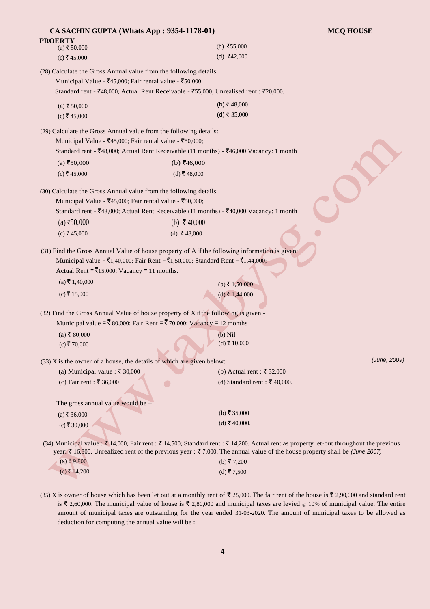| CA SACHIN GUPTA (Whats App: 9354-1178-01)                                                                                                      |                                                                                                                                                                                                                               | <b>MCQ HOUSE</b> |
|------------------------------------------------------------------------------------------------------------------------------------------------|-------------------------------------------------------------------------------------------------------------------------------------------------------------------------------------------------------------------------------|------------------|
| <b>PROERTY</b><br>$(a)$ ₹ 50,000                                                                                                               | (b) ₹55,000                                                                                                                                                                                                                   |                  |
| $(c)$ ₹ 45,000                                                                                                                                 | (d) ₹42,000                                                                                                                                                                                                                   |                  |
| (28) Calculate the Gross Annual value from the following details:                                                                              |                                                                                                                                                                                                                               |                  |
| Municipal Value - $\bar{5}45,000$ ; Fair rental value - $\bar{5}50,000$ ;                                                                      |                                                                                                                                                                                                                               |                  |
|                                                                                                                                                | Standard rent - ₹48,000; Actual Rent Receivable - ₹55,000; Unrealised rent : ₹20,000.                                                                                                                                         |                  |
| (a) ₹ $50,000$                                                                                                                                 | (b) ₹ 48,000                                                                                                                                                                                                                  |                  |
| $(c)$ ₹45,000                                                                                                                                  | (d) ₹ 35,000                                                                                                                                                                                                                  |                  |
| (29) Calculate the Gross Annual value from the following details:                                                                              |                                                                                                                                                                                                                               |                  |
| Municipal Value - ₹45,000; Fair rental value - ₹50,000;                                                                                        |                                                                                                                                                                                                                               |                  |
|                                                                                                                                                | Standard rent - ₹48,000; Actual Rent Receivable (11 months) - ₹46,000 Vacancy: 1 month                                                                                                                                        |                  |
| $(a)$ ₹50,000                                                                                                                                  | (b) ₹46,000                                                                                                                                                                                                                   |                  |
| $(c)$ ₹45,000                                                                                                                                  | (d) ₹48,000                                                                                                                                                                                                                   |                  |
|                                                                                                                                                |                                                                                                                                                                                                                               |                  |
| (30) Calculate the Gross Annual value from the following details:<br>Municipal Value - $\bar{5}45,000$ ; Fair rental value - $\bar{5}50,000$ ; |                                                                                                                                                                                                                               |                  |
|                                                                                                                                                | Standard rent - ₹48,000; Actual Rent Receivable (11 months) - ₹40,000 Vacancy: 1 month                                                                                                                                        |                  |
| (a) ₹50,000                                                                                                                                    | (b) ₹ 40,000                                                                                                                                                                                                                  |                  |
| $(c)$ ₹45,000                                                                                                                                  | (d) ₹48,000                                                                                                                                                                                                                   |                  |
| Actual Rent = $\bar{\mathbf{\zeta}}$ 15,000; Vacancy = 11 months.                                                                              | (31) Find the Gross Annual Value of house property of A if the following information is given:<br>Municipal value = $\bar{\tau}_{1,40,000}$ ; Fair Rent = $\bar{\tau}_{1,50,000}$ ; Standard Rent = $\bar{\tau}_{1,44,000}$ ; |                  |
| $(a)$ ₹ 1,40,000                                                                                                                               | $(b)$ ₹ 1,50,000                                                                                                                                                                                                              |                  |
| $(c)$ ₹ 15,000                                                                                                                                 | $(d)$ ₹ 1,44,000                                                                                                                                                                                                              |                  |
|                                                                                                                                                | (32) Find the Gross Annual Value of house property of X if the following is given -                                                                                                                                           |                  |
|                                                                                                                                                | Municipal value = $\bar{\xi}$ 80,000; Fair Rent = $\bar{\xi}$ 70,000; Vacancy = 12 months                                                                                                                                     |                  |
| $(a)$ ₹ 80,000                                                                                                                                 | $(b)$ Nil                                                                                                                                                                                                                     |                  |
| $(c)$ ₹70,000                                                                                                                                  | $(d)$ ₹ 10,000                                                                                                                                                                                                                |                  |
|                                                                                                                                                | <b>Service</b>                                                                                                                                                                                                                |                  |
| $(33)$ X is the owner of a house, the details of which are given below:                                                                        |                                                                                                                                                                                                                               | (June, 2009)     |
| (a) Municipal value : ₹ 30,000                                                                                                                 | (b) Actual rent : ₹ 32,000                                                                                                                                                                                                    |                  |
| (c) Fair rent : ₹ 36,000                                                                                                                       | (d) Standard rent : ₹ 40,000.<br>$\bullet$                                                                                                                                                                                    |                  |
|                                                                                                                                                |                                                                                                                                                                                                                               |                  |
| The gross annual value would be $-$                                                                                                            | (b) ₹ 35,000                                                                                                                                                                                                                  |                  |
| $(a)$ ₹ 36,000                                                                                                                                 | $(d)$ ₹ 40,000.                                                                                                                                                                                                               |                  |
| $(c)$ ₹30,000                                                                                                                                  |                                                                                                                                                                                                                               |                  |
|                                                                                                                                                | (34) Municipal value : ₹ 14,000; Fair rent : ₹ 14,500; Standard rent : ₹ 14,200. Actual rent as property let-out throughout the previous                                                                                      |                  |
| (a) ₹ 9,800                                                                                                                                    | year: ₹ 16,800. Unrealized rent of the previous year : ₹ 7,000. The annual value of the house property shall be (June 2007)                                                                                                   |                  |
| $(c)$ ₹ 14,200                                                                                                                                 | (b) ₹ 7,200<br>(d) ₹7,500                                                                                                                                                                                                     |                  |
|                                                                                                                                                |                                                                                                                                                                                                                               |                  |

(35) X is owner of house which has been let out at a monthly rent of  $\overline{5}$  25,000. The fair rent of the house is  $\overline{5}$  2,90,000 and standard rent is  $\bar{\tau}$  2,60,000. The municipal value of house is  $\bar{\tau}$  2,80,000 and municipal taxes are levied @ 10% of municipal value. The entire amount of municipal taxes are outstanding for the year ended 31-03-2020. The amount of municipal taxes to be allowed as deduction for computing the annual value will be :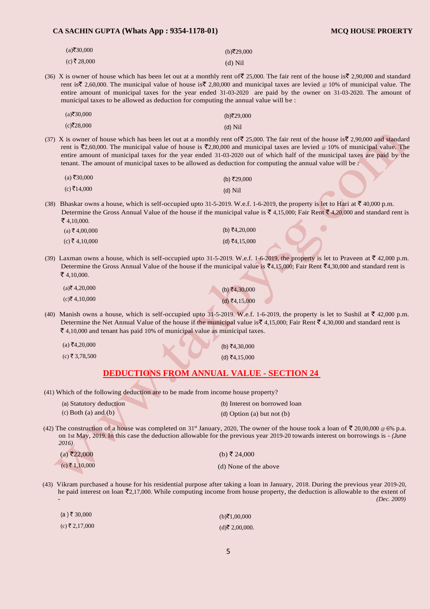### **CA SACHIN GUPTA (Whats App : 9354-1178-01) MCQ HOUSE PROERTY**

| $(a)$ ₹30,000 | (b)₹29,000 |
|---------------|------------|
| (c) ₹ 28,000  | $(d)$ Nil  |

(36) X is owner of house which has been let out at a monthly rent of  $\overline{\mathfrak{c}}$  25,000. The fair rent of the house is $\overline{\mathfrak{c}}$  2,90,000 and standard rent is  $\zeta$  2,60,000. The municipal value of house is  $\zeta$  2,80,000 and municipal taxes are levied @ 10% of municipal value. The entire amount of municipal taxes for the year ended 31-03-2020 are paid by the owner on 31-03-2020. The amount of municipal taxes to be allowed as deduction for computing the annual value will be :

| $(a)$ ₹30,000 | (b)₹29,000 |
|---------------|------------|
| $(c)$ ₹28,000 | $(d)$ Nil  |

(37) X is owner of house which has been let out at a monthly rent of  $\bar{\mathfrak{F}}$  25,000. The fair rent of the house is  $\bar{\mathfrak{F}}$  2,90,000 and standard rent is  $\bar{\zeta}_2$ ,60,000. The municipal value of house is  $\bar{\zeta}_2$ ,80,000 and municipal taxes are levied @ 10% of municipal value. The entire amount of municipal taxes for the year ended 31-03-2020 out of which half of the municipal taxes are paid by the tenant. The amount of municipal taxes to be allowed as deduction for computing the annual value will be :

| $(a)$ ₹30,000 | (b) ₹29,000 |
|---------------|-------------|
| (c) ₹14,000   | $(d)$ Nil   |

(38) Bhaskar owns a house, which is self-occupied upto 31-5-2019. W.e.f. 1-6-2019, the property is let to Hari at  $\bar{\tau}$  40,000 p.m. Determine the Gross Annual Value of the house if the municipal value is  $\bar{\tau}$  4,15,000; Fair Rent  $\bar{\tau}$  4,20,000 and standard rent is  $\bar$ ₹4,10,000.

| $(a)$ ₹ 4,00,000 | (b) ₹4,20,000 |
|------------------|---------------|
| $(c)$ ₹ 4,10,000 | (d) ₹4,15,000 |

(39) Laxman owns a house, which is self-occupied upto 31-5-2019. W.e.f. 1-6-2019, the property is let to Praveen at  $\bar{\tau}$  42,000 p.m. Determine the Gross Annual Value of the house if the municipal value is  $\bar{\mathcal{F}}4,15,000$ ; Fair Rent  $\bar{\mathcal{F}}4,30,000$  and standard rent is  $\bar$ ₹4,10,000.

| $(a)$ ₹ 4,20,000 | (b) ₹4,30,000 |
|------------------|---------------|
| $(c)$ ₹ 4,10,000 | (d) ₹4,15,000 |

(40) Manish owns a house, which is self-occupied upto  $31$ -5-2019. W.e.f. 1-6-2019, the property is let to Sushil at  $\overline{z}$  42,000 p.m. Determine the Net Annual Value of the house if the municipal value is  $\bar{\tau}$  4,15,000; Fair Rent  $\bar{\tau}$  4,30,000 and standard rent is  $\bar{\xi}$  4,10,000 and tenant has paid 10% of municipal value as municipal taxes.

> $(b)$ ₹4,30,000  $(d)$ ₹4,15,000

 $(a) \, \overline{\mathfrak{F}} 4,20,000$ 

 $(c)$  ₹ 3,78,500

## **DEDUCTIONS FROM ANNUAL VALUE - SECTION 24**

(41) Which of the following deduction are to be made from income house property?

| (a) Statutory deduction | (b) Interest on borrowed loan |
|-------------------------|-------------------------------|
| (c) Both (a) and (b)    | (d) Option (a) but not (b)    |

(42) The construction of a house was completed on 31<sup>st</sup> January, 2020, The owner of the house took a loan of  $\bar{\mathfrak{X}}$  20,00,000 @ 6% p.a. on 1st May, 2019. In this case the deduction allowable for the previous year 2019-20 towards interest on borrowings is - *(June 2016)* 

| $(a) \xi$ ₹22,000 | (b) ₹ 24,000          |
|-------------------|-----------------------|
| $(c)$ ₹ 1,10,000  | (d) None of the above |

(43) Vikram purchased a house for his residential purpose after taking a loan in January, 2018. During the previous year 2019-20, he paid interest on loan  $\bar{\mathcal{F}}2,17,000$ . While computing income from house property, the deduction is allowable to the extent of - *(Dec. 2009)* 

| $(a)$ ₹ 30,000   | (b)₹1,00,000      |
|------------------|-------------------|
| $(c)$ ₹ 2,17,000 | $(d)$ ₹ 2,00,000. |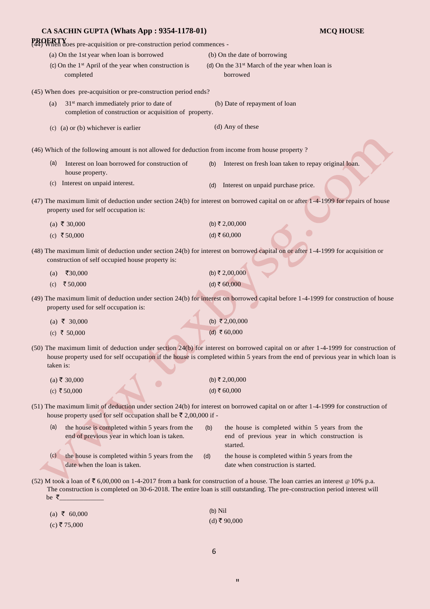| CA SACHIN GUPTA (Whats App: 9354-1178-01)                                                                            | <b>MCQ HOUSE</b>                                                                                                                                                                                                                                                     |  |  |  |
|----------------------------------------------------------------------------------------------------------------------|----------------------------------------------------------------------------------------------------------------------------------------------------------------------------------------------------------------------------------------------------------------------|--|--|--|
| <b>PROERTY</b><br>(44) When does pre-acquisition or pre-construction period commences -                              |                                                                                                                                                                                                                                                                      |  |  |  |
| (a) On the 1st year when loan is borrowed                                                                            | (b) On the date of borrowing                                                                                                                                                                                                                                         |  |  |  |
| (c) On the $1st$ April of the year when construction is<br>completed                                                 | (d) On the $31st$ March of the year when loan is<br>borrowed                                                                                                                                                                                                         |  |  |  |
| (45) When does pre-acquisition or pre-construction period ends?                                                      |                                                                                                                                                                                                                                                                      |  |  |  |
| 31 <sup>st</sup> march immediately prior to date of<br>(a)<br>completion of construction or acquisition of property. | (b) Date of repayment of loan                                                                                                                                                                                                                                        |  |  |  |
| $(c)$ (a) or (b) whichever is earlier                                                                                | (d) Any of these                                                                                                                                                                                                                                                     |  |  |  |
| (46) Which of the following amount is not allowed for deduction from income from house property?                     |                                                                                                                                                                                                                                                                      |  |  |  |
| (a)<br>Interest on loan borrowed for construction of<br>house property.                                              | Interest on fresh loan taken to repay original loan.<br>(b)                                                                                                                                                                                                          |  |  |  |
| (c) Interest on unpaid interest.                                                                                     | Interest on unpaid purchase price.<br>(d)                                                                                                                                                                                                                            |  |  |  |
| property used for self occupation is:                                                                                | (47) The maximum limit of deduction under section 24(b) for interest on borrowed capital on or after 1-4-1999 for repairs of house                                                                                                                                   |  |  |  |
| (a) ₹ 30,000                                                                                                         | (b) ₹ 2,00,000                                                                                                                                                                                                                                                       |  |  |  |
| (c) ₹ 50,000                                                                                                         | (d) ₹ $60,000$                                                                                                                                                                                                                                                       |  |  |  |
| construction of self occupied house property is:                                                                     | (48) The maximum limit of deduction under section 24(b) for interest on borrowed capital on or after 1-4-1999 for acquisition or                                                                                                                                     |  |  |  |
| ₹30,000<br>(a)                                                                                                       | (b) ₹ 2,00,000                                                                                                                                                                                                                                                       |  |  |  |
| ₹50,000<br>(c)                                                                                                       | (d) ₹ $60,000$                                                                                                                                                                                                                                                       |  |  |  |
| property used for self occupation is:                                                                                | (49) The maximum limit of deduction under section 24(b) for interest on borrowed capital before 1-4-1999 for construction of house                                                                                                                                   |  |  |  |
| (a) ₹ 30,000                                                                                                         | (b) ₹2,00,000                                                                                                                                                                                                                                                        |  |  |  |
| (c) ₹ 50,000                                                                                                         | (d) ₹ 60,000                                                                                                                                                                                                                                                         |  |  |  |
| taken is:                                                                                                            | (50) The maximum limit of deduction under section 24(b) for interest on borrowed capital on or after 1-4-1999 for construction of<br>house property used for self occupation if the house is completed within 5 years from the end of previous year in which loan is |  |  |  |
| $(a)$ ₹ 30,000                                                                                                       | (b) ₹ 2,00,000                                                                                                                                                                                                                                                       |  |  |  |
| (c) ₹ 50,000                                                                                                         | (d) ₹ $60,000$                                                                                                                                                                                                                                                       |  |  |  |
| house property used for self occupation shall be $\bar{\tau}$ 2,00,000 if -                                          | (51) The maximum limit of deduction under section 24(b) for interest on borrowed capital on or after 1-4-1999 for construction of                                                                                                                                    |  |  |  |
| (a)<br>the house is completed within 5 years from the<br>end of previous year in which loan is taken.                | the house is completed within 5 years from the<br>(b)<br>end of previous year in which construction is<br>started.                                                                                                                                                   |  |  |  |
| (c)<br>the house is completed within 5 years from the<br>date when the loan is taken.                                | the house is completed within 5 years from the<br>(d)<br>date when construction is started.                                                                                                                                                                          |  |  |  |
| be $\zeta$                                                                                                           | (52) M took a loan of ₹ 6,00,000 on 1-4-2017 from a bank for construction of a house. The loan carries an interest @ 10% p.a.<br>The construction is completed on 30-6-2018. The entire loan is still outstanding. The pre-construction period interest will         |  |  |  |
| (a) ₹ 60,000                                                                                                         | $(b)$ Nil                                                                                                                                                                                                                                                            |  |  |  |
| $(c)$ ₹ 75,000                                                                                                       | $(d)$ ₹ 90,000                                                                                                                                                                                                                                                       |  |  |  |
|                                                                                                                      |                                                                                                                                                                                                                                                                      |  |  |  |

6

"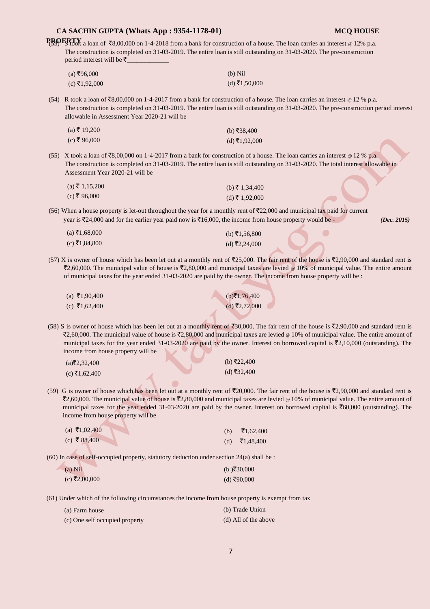| CA SACHIN GUPTA (Whats App : 9354-1178-01)                                                              |     | <b>MCQ HOUSE</b>                                                                                                                                                                                                                                                                                                                                                                                                                                                |
|---------------------------------------------------------------------------------------------------------|-----|-----------------------------------------------------------------------------------------------------------------------------------------------------------------------------------------------------------------------------------------------------------------------------------------------------------------------------------------------------------------------------------------------------------------------------------------------------------------|
| period interest will be $\bar{z}$                                                                       |     | PROFRTY a loan of ₹8,00,000 on 1-4-2018 from a bank for construction of a house. The loan carries an interest @ 12% p.a.<br>The construction is completed on 31-03-2019. The entire loan is still outstanding on 31-03-2020. The pre-construction                                                                                                                                                                                                               |
| $(a)$ ₹96,000                                                                                           |     | $(b)$ Nil                                                                                                                                                                                                                                                                                                                                                                                                                                                       |
| $(c)$ ₹1,92,000                                                                                         |     | (d) ₹1,50,000                                                                                                                                                                                                                                                                                                                                                                                                                                                   |
| allowable in Assessment Year 2020-21 will be                                                            |     | (54) R took a loan of ₹8,00,000 on 1-4-2017 from a bank for construction of a house. The loan carries an interest $\textdegree$ 12 % p.a.<br>The construction is completed on 31-03-2019. The entire loan is still outstanding on 31-03-2020. The pre-construction period interest                                                                                                                                                                              |
| $(a)$ ₹ 19,200                                                                                          |     | (b) ₹38,400                                                                                                                                                                                                                                                                                                                                                                                                                                                     |
| $(c)$ ₹ 96,000                                                                                          |     | $(d)$ ₹1,92,000                                                                                                                                                                                                                                                                                                                                                                                                                                                 |
| Assessment Year 2020-21 will be                                                                         |     | (55) X took a loan of ₹8,00,000 on 1-4-2017 from a bank for construction of a house. The loan carries an interest $\omega$ 12 % p.a.<br>The construction is completed on 31-03-2019. The entire loan is still outstanding on 31-03-2020. The total interest allowable in                                                                                                                                                                                        |
| $(a)$ ₹ 1,15,200                                                                                        |     | (b) ₹ 1,34,400                                                                                                                                                                                                                                                                                                                                                                                                                                                  |
| $(c)$ ₹ 96,000                                                                                          |     | $(d)$ ₹ 1,92,000                                                                                                                                                                                                                                                                                                                                                                                                                                                |
| year is ₹24,000 and for the earlier year paid now is ₹16,000, the income from house property would be - |     | (56) When a house property is let-out throughout the year for a monthly rent of ₹22,000 and municipal tax paid for current<br>(Dec. 2015)                                                                                                                                                                                                                                                                                                                       |
| $(a)$ ₹1,68,000                                                                                         |     | (b) ₹1,56,800                                                                                                                                                                                                                                                                                                                                                                                                                                                   |
| $(c)$ ₹1,84,800                                                                                         |     | $(d)$ ₹2,24,000                                                                                                                                                                                                                                                                                                                                                                                                                                                 |
|                                                                                                         |     | (57) X is owner of house which has been let out at a monthly rent of $\mathfrak{F}25,000$ . The fair rent of the house is $\mathfrak{F}2,90,000$ and standard rent is<br>₹2,60,000. The municipal value of house is ₹2,80,000 and municipal taxes are levied $\ge 10\%$ of municipal value. The entire amount<br>of municipal taxes for the year ended 31-03-2020 are paid by the owner. The income from house property will be :                               |
| (a) ₹1,90,400                                                                                           |     | $(b)$ ₹1,76,400                                                                                                                                                                                                                                                                                                                                                                                                                                                 |
| (c) ₹1,62,400                                                                                           |     | $(d)$ ₹2,72,000                                                                                                                                                                                                                                                                                                                                                                                                                                                 |
| income from house property will be                                                                      |     | (58) S is owner of house which has been let out at a monthly rent of $\overline{\xi}30,000$ . The fair rent of the house is $\overline{\xi}2,90,000$ and standard rent is<br>₹2,60,000. The municipal value of house is ₹2,80,000 and municipal taxes are levied @ 10% of municipal value. The entire amount of<br>municipal taxes for the year ended 31-03-2020 are paid by the owner. Interest on borrowed capital is $\bar{\tau}2,10,000$ (outstanding). The |
| $(a)$ ₹2,32,400                                                                                         |     | (b) ₹22,400                                                                                                                                                                                                                                                                                                                                                                                                                                                     |
| $(c)$ ₹1,62,400                                                                                         |     | (d) ₹32,400                                                                                                                                                                                                                                                                                                                                                                                                                                                     |
| income from house property will be                                                                      |     | (59) G is owner of house which has been let out at a monthly rent of ₹20,000. The fair rent of the house is ₹2,90,000 and standard rent is<br>₹2,60,000. The municipal value of house is ₹2,80,000 and municipal taxes are levied @ 10% of municipal value. The entire amount of<br>municipal taxes for the year ended 31-03-2020 are paid by the owner. Interest on borrowed capital is $\overline{\text{5}}60,000$ (outstanding). The                         |
| (a) ₹1,02,400                                                                                           | (b) | ₹1,62,400                                                                                                                                                                                                                                                                                                                                                                                                                                                       |
| (c) ₹ 88,400                                                                                            | (d) | ₹ $1,48,400$                                                                                                                                                                                                                                                                                                                                                                                                                                                    |
| (60) In case of self-occupied property, statutory deduction under section 24(a) shall be :              |     |                                                                                                                                                                                                                                                                                                                                                                                                                                                                 |

| $(a)$ Nil       | (b)₹30,000  |
|-----------------|-------------|
| $(c)$ ₹2,00,000 | (d) ₹90,000 |

(61) Under which of the following circumstances the income from house property is exempt from tax

| (a) Farm house                 | (b) Trade Union      |
|--------------------------------|----------------------|
| (c) One self occupied property | (d) All of the above |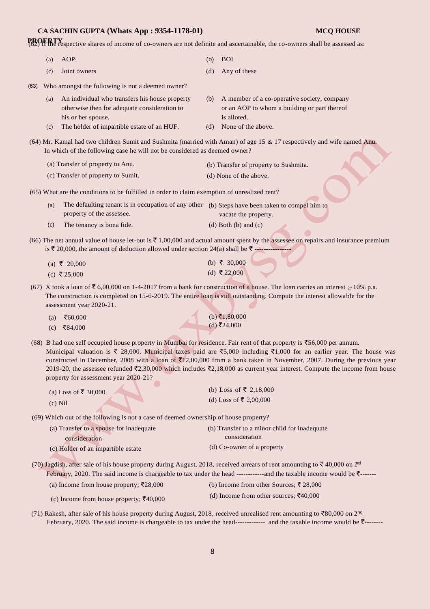## **CA SACHIN GUPTA (Whats App : 9354-1178-01) MCQ HOUSE**

**PROERTY**<br>(62) If the respective shares of income of co-owners are not definite and ascertainable, the co-owners shall be assessed as:

|      | (a) | AOP.                                                                                                                                                                 | (b) | <b>BOI</b>                                                                                                                                                                                                                                                                                                                                                                                                          |
|------|-----|----------------------------------------------------------------------------------------------------------------------------------------------------------------------|-----|---------------------------------------------------------------------------------------------------------------------------------------------------------------------------------------------------------------------------------------------------------------------------------------------------------------------------------------------------------------------------------------------------------------------|
|      | (c) | Joint owners                                                                                                                                                         | (d) | Any of these                                                                                                                                                                                                                                                                                                                                                                                                        |
| (63) |     | Who amongst the following is not a deemed owner?                                                                                                                     |     |                                                                                                                                                                                                                                                                                                                                                                                                                     |
|      | (a) | An individual who transfers his house property<br>otherwise then for adequate consideration to<br>his or her spouse.                                                 | (b) | A member of a co-operative society, company<br>or an AOP to whom a building or part thereof<br>is alloted.                                                                                                                                                                                                                                                                                                          |
|      | (c) | The holder of impartible estate of an HUF.                                                                                                                           | (d) | None of the above.                                                                                                                                                                                                                                                                                                                                                                                                  |
|      |     | In which of the following case he will not be considered as deemed owner?                                                                                            |     | (64) Mr. Kamal had two children Sumit and Sushmita (married with Aman) of age 15 & 17 respectively and wife named Anu.                                                                                                                                                                                                                                                                                              |
|      |     | (a) Transfer of property to Anu.                                                                                                                                     |     | (b) Transfer of property to Sushmita.                                                                                                                                                                                                                                                                                                                                                                               |
|      |     | (c) Transfer of property to Sumit.                                                                                                                                   |     | (d) None of the above.                                                                                                                                                                                                                                                                                                                                                                                              |
|      |     | (65) What are the conditions to be fulfilled in order to claim exemption of unrealized rent?                                                                         |     |                                                                                                                                                                                                                                                                                                                                                                                                                     |
|      | (a) | The defaulting tenant is in occupation of any other (b) Steps have been taken to compel him to<br>property of the assessee.                                          |     | vacate the property.                                                                                                                                                                                                                                                                                                                                                                                                |
|      | (c) | The tenancy is bona fide.                                                                                                                                            |     | $(d)$ Both $(b)$ and $(c)$                                                                                                                                                                                                                                                                                                                                                                                          |
|      |     | is ₹ 20,000, the amount of deduction allowed under section 24(a) shall be ₹ --------------                                                                           |     | (66) The net annual value of house let-out is $\bar{\tau}$ 1,00,000 and actual amount spent by the assessee on repairs and insurance premium                                                                                                                                                                                                                                                                        |
|      |     | (a) ₹ 20,000                                                                                                                                                         |     | (b) ₹ 30,000                                                                                                                                                                                                                                                                                                                                                                                                        |
|      |     | (c) ₹ 25,000                                                                                                                                                         |     | (d) ₹ 22,000                                                                                                                                                                                                                                                                                                                                                                                                        |
|      |     | assessment year 2020-21.                                                                                                                                             |     | (67) X took a loan of ₹ 6,00,000 on 1-4-2017 from a bank for construction of a house. The loan carries an interest $\circ$ 10% p.a.<br>The construction is completed on 15-6-2019. The entire loan is still outstanding. Compute the interest allowable for the                                                                                                                                                     |
|      | (a) | ₹60,000                                                                                                                                                              |     | (b) ₹1,80,000                                                                                                                                                                                                                                                                                                                                                                                                       |
|      | (c) | ₹84,000                                                                                                                                                              |     | $(d)$ ₹24,000                                                                                                                                                                                                                                                                                                                                                                                                       |
|      |     | (68) B had one self occupied house property in Mumbai for residence. Fair rent of that property is $\overline{5}56,000$ per annum.                                   |     |                                                                                                                                                                                                                                                                                                                                                                                                                     |
|      |     | property for assessment year 2020-21?                                                                                                                                |     | Municipal valuation is ₹ 28,000. Municipal taxes paid are ₹5,000 including ₹1,000 for an earlier year. The house was<br>constructed in December, 2008 with a loan of $\text{\textsterling}12,00,000$ from a bank taken in November, 2007. During the previous year<br>2019-20, the assessee refunded $\bar{\xi}2,30,000$ which includes $\bar{\xi}2,18,000$ as current year interest. Compute the income from house |
|      |     | (a) Loss of ₹ 30,000                                                                                                                                                 |     | (b) Loss of ₹ 2,18,000                                                                                                                                                                                                                                                                                                                                                                                              |
|      |     | $(c)$ Nil                                                                                                                                                            |     | (d) Loss of ₹ 2,00,000                                                                                                                                                                                                                                                                                                                                                                                              |
|      |     | (69) Which out of the following is not a case of deemed ownership of house property?                                                                                 |     |                                                                                                                                                                                                                                                                                                                                                                                                                     |
|      |     | (a) Transfer to a spouse for inadequate<br>consideration                                                                                                             |     | (b) Transfer to a minor child for inadequate<br>consideration                                                                                                                                                                                                                                                                                                                                                       |
|      |     | (c) Holder of an impartible estate                                                                                                                                   |     | (d) Co-owner of a property                                                                                                                                                                                                                                                                                                                                                                                          |
|      |     | (70) Jagdish, after sale of his house property during August, 2018, received arrears of rent amounting to $\bar{\zeta}$ 40,000 on 2 <sup>nd</sup><br>$2020 - T1 = -$ |     |                                                                                                                                                                                                                                                                                                                                                                                                                     |

February, 2020. The said income is chargeable to tax under the head -------------and the taxable income would be  $\bar{\tau}$ -------

(a) Income from house property;  $\bar{\tau}$ 28,000 (b) Income from other Sources;  $\bar{\tau}$  28,000

(c) Income from house property;  $\overline{\xi}40,000$  (d) Income from other sources;  $\overline{\xi}40,000$ 

(71) Rakesh, after sale of his house property during August, 2018, received unrealised rent amounting to  $\bar{f}80,000$  on 2<sup>nd</sup> February, 2020. The said income is chargeable to tax under the head------------- and the taxable income would be ₹-------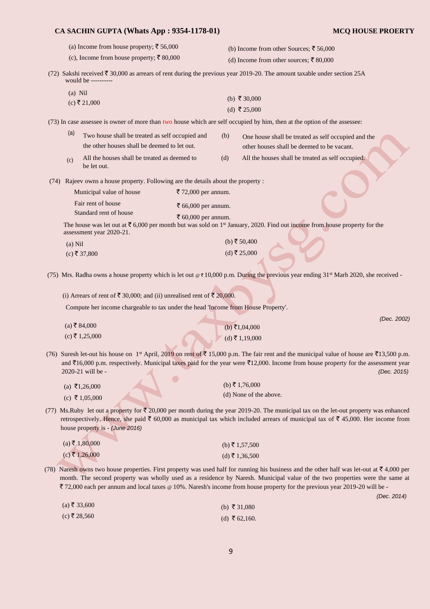| CA SACHIN GUPTA (Whats App : 9354-1178-01)                                                                    |                                            | <b>MCQ HOUSE PROERTY</b>                                                                                                                                                                                                                                                                                                          |
|---------------------------------------------------------------------------------------------------------------|--------------------------------------------|-----------------------------------------------------------------------------------------------------------------------------------------------------------------------------------------------------------------------------------------------------------------------------------------------------------------------------------|
| (a) Income from house property; ₹ 56,000<br>(c), Income from house property; ₹ 80,000                         |                                            | (b) Income from other Sources; ₹ 56,000<br>(d) Income from other sources; ₹ 80,000                                                                                                                                                                                                                                                |
|                                                                                                               |                                            | (72) Sakshi received $\bar{\tau}$ 30,000 as arrears of rent during the previous year 2019-20. The amount taxable under section 25A                                                                                                                                                                                                |
| would be ----------                                                                                           |                                            |                                                                                                                                                                                                                                                                                                                                   |
| $(a)$ Nil                                                                                                     |                                            | (b) ₹ 30,000                                                                                                                                                                                                                                                                                                                      |
| $(c)$ ₹ 21,000                                                                                                |                                            | (d) ₹ 25,000                                                                                                                                                                                                                                                                                                                      |
|                                                                                                               |                                            | (73) In case assessee is owner of more than two house which are self occupied by him, then at the option of the assessee:                                                                                                                                                                                                         |
| (a)<br>Two house shall be treated as self occupied and<br>the other houses shall be deemed to let out.        |                                            | (b)<br>One house shall be treated as self occupied and the<br>other houses shall be deemed to be vacant.                                                                                                                                                                                                                          |
| All the houses shall be treated as deemed to<br>(c)<br>be let out.                                            |                                            | (d)<br>All the houses shall be treated as self occupied.                                                                                                                                                                                                                                                                          |
| (74) Rajeev owns a house property. Following are the details about the property :<br>Municipal value of house | ₹ 72,000 per annum.                        |                                                                                                                                                                                                                                                                                                                                   |
| Fair rent of house<br>Standard rent of house                                                                  | ₹ 66,000 per annum.<br>₹ 60,000 per annum. |                                                                                                                                                                                                                                                                                                                                   |
| assessment year 2020-21.                                                                                      |                                            | The house was let out at $\bar{\tau}$ 6,000 per month but was sold on 1 <sup>st</sup> January, 2020. Find out income from house property for the                                                                                                                                                                                  |
| $(a)$ Nil                                                                                                     |                                            | (b) ₹ $50,400$                                                                                                                                                                                                                                                                                                                    |
| $(c)$ ₹ 37,800                                                                                                |                                            | (d) ₹ 25,000                                                                                                                                                                                                                                                                                                                      |
|                                                                                                               |                                            | (75) Mrs. Radha owns a house property which is let out @ ₹ 10,000 p.m. During the previous year ending 31 <sup>st</sup> Marh 2020, she received -                                                                                                                                                                                 |
| (i) Arrears of rent of ₹ 30,000; and (ii) unrealised rent of ₹ 20,000.                                        |                                            |                                                                                                                                                                                                                                                                                                                                   |
| Compute her income chargeable to tax under the head 'Income from House Property'.                             |                                            |                                                                                                                                                                                                                                                                                                                                   |
| $(a)$ ₹84,000                                                                                                 |                                            | (Dec. 2002)<br>(b) ₹1,04,000                                                                                                                                                                                                                                                                                                      |
| $(c)$ ₹ 1,25,000                                                                                              |                                            | $(d)$ ₹ 1,19,000                                                                                                                                                                                                                                                                                                                  |
| 2020-21 will be -                                                                                             |                                            | (76) Suresh let-out his house on 1 <sup>st</sup> April, 2019 on rent of ₹ 15,000 p.m. The fair rent and the municipal value of house are ₹13,500 p.m.<br>and $\bar{\tau}$ 16,000 p.m. respectively. Municipal taxes paid for the year were $\bar{\tau}$ 12,000. Income from house property for the assessment year<br>(Dec. 2015) |
| (a) ₹1,26,000                                                                                                 |                                            | (b) ₹ 1,76,000                                                                                                                                                                                                                                                                                                                    |
| (c) ₹ 1,05,000                                                                                                |                                            | (d) None of the above.                                                                                                                                                                                                                                                                                                            |
| house property is - (June 2016)                                                                               |                                            | (77) Ms. Ruby let out a property for $\bar{\ell}$ 20,000 per month during the year 2019-20. The municipal tax on the let-out property was enhanced<br>retrospectively. Hence, she paid $\bar{\tau}$ 60,000 as municipal tax which included arrears of municipal tax of $\bar{\tau}$ 45,000. Her income from                       |
| $(a)$ ₹ 1,80,000                                                                                              |                                            | (b) ₹ 1,57,500                                                                                                                                                                                                                                                                                                                    |
| $(c)$ ₹ 1,26,000                                                                                              |                                            | $(d)$ ₹ 1,36,500                                                                                                                                                                                                                                                                                                                  |
|                                                                                                               |                                            |                                                                                                                                                                                                                                                                                                                                   |

(78) Naresh owns two house properties. First property was used half for running his business and the other half was let-out at  $\overline{\tau}$  4,000 per month. The second property was wholly used as a residence by Naresh. Municipal value of the two properties were the same at ` 72,000 each per annum and local taxes @ 10%. Naresh's income from house property for the previous year 2019-20 will be -

 $(a) \bar{z} 33,600$  $(c)$  ₹ 28,560 (b) ₹ 31,080 (d) ₹ 62,160.

*(Dec. 2014)*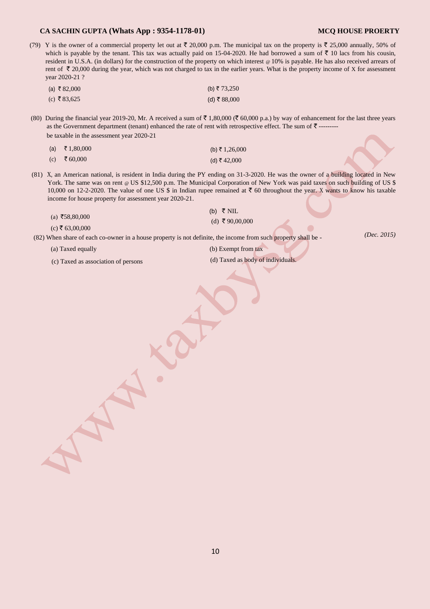### **CA SACHIN GUPTA (Whats App : 9354-1178-01) MCQ HOUSE PROERTY**

(79) Y is the owner of a commercial property let out at  $\bar{\tau}$  20,000 p.m. The municipal tax on the property is  $\bar{\tau}$  25,000 annually, 50% of which is payable by the tenant. This tax was actually paid on 15-04-2020. He had borrowed a sum of  $\overline{\tau}$  10 lacs from his cousin, resident in U.S.A. (in dollars) for the construction of the property on which interest @ 10% is payable. He has also received arrears of rent of  $\bar{\tau}$  20,000 during the year, which was not charged to tax in the earlier years. What is the property income of X for assessment year 2020-21 ?

| (a) ₹82,000 | (b) ₹ 73,250 |
|-------------|--------------|
| (c) ₹83,625 | (d) ₹ 88,000 |

(80) During the financial year 2019-20, Mr. A received a sum of  $\bar{\tau}$  1,80,000 ( $\bar{\tau}$  60,000 p.a.) by way of enhancement for the last three years as the Government department (tenant) enhanced the rate of rent with retrospective effect. The sum of  $\bar{\tau}$  -------be taxable in the assessment year 2020-21

| (a) ₹ 1,80,000 | (b) ₹ 1,26,000 |
|----------------|----------------|
| (c) ₹ 60,000   | (d) ₹ 42,000   |

(81) X, an American national, is resident in India during the PY ending on 31-3-2020. He was the owner of a building located in New York. The same was on rent @ US \$12,500 p.m. The Municipal Corporation of New York was paid taxes on such building of US \$ 10,000 on 12-2-2020. The value of one US \$ in Indian rupee remained at  $\bar{c}$  60 throughout the year. X wants to know his taxable income for house property for assessment year 2020-21.

|                 | (b) $\bar{\tau}$ NIL |
|-----------------|----------------------|
| (a) ₹58,80,000  | (d) ₹90,00,000       |
| (c) ₹ 63,00,000 |                      |

(82) When share of each co-owner in a house property is not definite, the income from such property shall be -

*(Dec. 2015)* 

(a) Taxed equally (b) Exempt from tax

(c) Taxed as association of persons (d) Taxed as body of individuals.